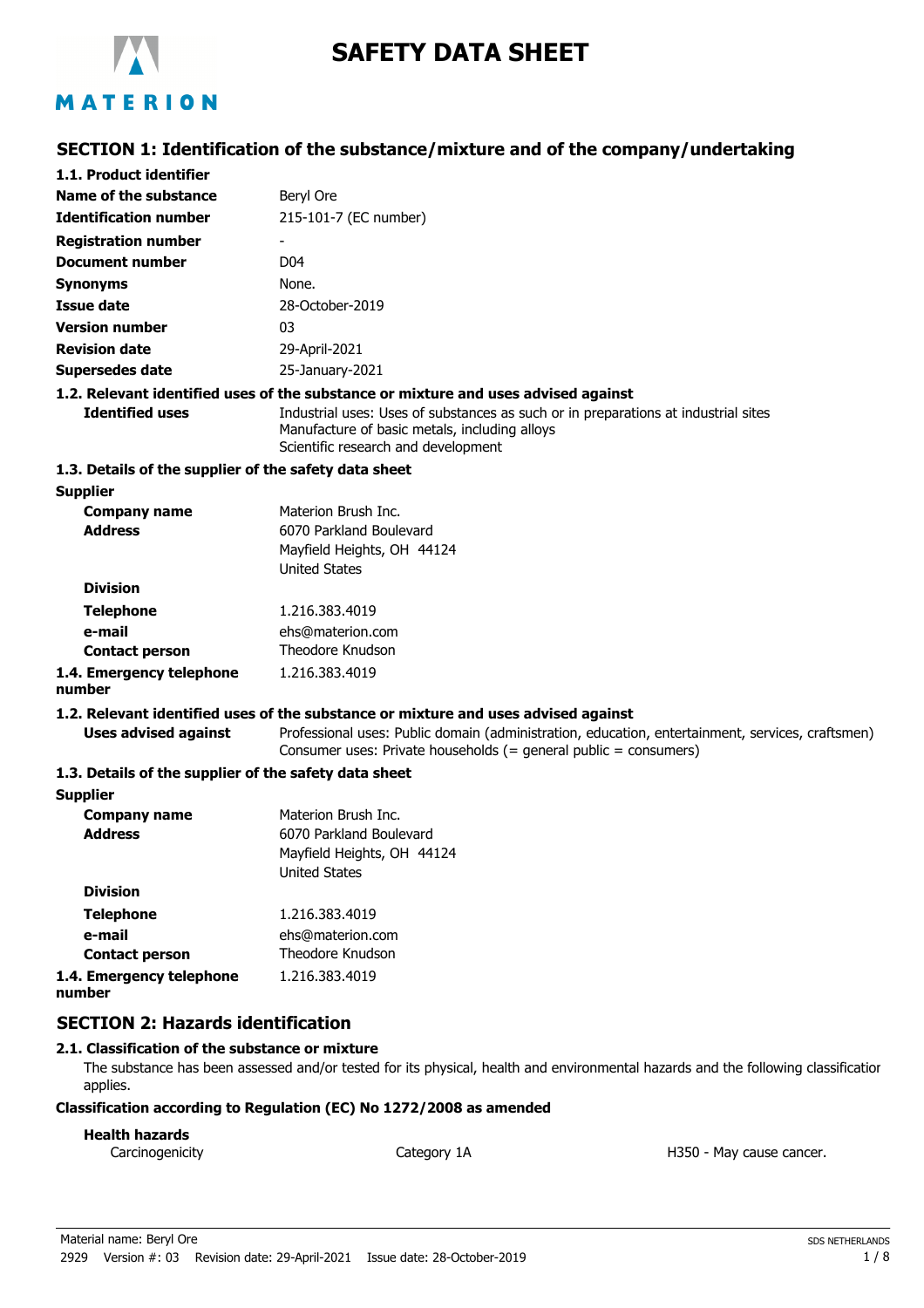

# **SAFETY DATA SHEET**

# **SECTION 1: Identification of the substance/mixture and of the company/undertaking**

| 1.1. Product identifier                               |                                                                                                                                                                            |
|-------------------------------------------------------|----------------------------------------------------------------------------------------------------------------------------------------------------------------------------|
| Name of the substance                                 | Beryl Ore                                                                                                                                                                  |
| <b>Identification number</b>                          | 215-101-7 (EC number)                                                                                                                                                      |
| <b>Registration number</b>                            |                                                                                                                                                                            |
| <b>Document number</b>                                | D <sub>04</sub>                                                                                                                                                            |
| <b>Synonyms</b>                                       | None.                                                                                                                                                                      |
| <b>Issue date</b>                                     | 28-October-2019                                                                                                                                                            |
| <b>Version number</b>                                 | 03                                                                                                                                                                         |
| <b>Revision date</b>                                  | 29-April-2021                                                                                                                                                              |
| <b>Supersedes date</b>                                | 25-January-2021                                                                                                                                                            |
|                                                       | 1.2. Relevant identified uses of the substance or mixture and uses advised against                                                                                         |
| <b>Identified uses</b>                                | Industrial uses: Uses of substances as such or in preparations at industrial sites<br>Manufacture of basic metals, including alloys<br>Scientific research and development |
| 1.3. Details of the supplier of the safety data sheet |                                                                                                                                                                            |
| <b>Supplier</b>                                       |                                                                                                                                                                            |
| <b>Company name</b><br><b>Address</b>                 | Materion Brush Inc.<br>6070 Parkland Boulevard<br>Mayfield Heights, OH 44124<br><b>United States</b>                                                                       |
| <b>Division</b>                                       |                                                                                                                                                                            |
| <b>Telephone</b>                                      | 1.216.383.4019                                                                                                                                                             |
| e-mail                                                | ehs@materion.com                                                                                                                                                           |
| <b>Contact person</b>                                 | Theodore Knudson                                                                                                                                                           |
| 1.4. Emergency telephone<br>number                    | 1.216.383.4019                                                                                                                                                             |
|                                                       | 1.2. Relevant identified uses of the substance or mixture and uses advised against                                                                                         |
| <b>Uses advised against</b>                           | Professional uses: Public domain (administration, education, entertainment, services, craftsmen)<br>Consumer uses: Private households (= general public = consumers)       |
| 1.3. Details of the supplier of the safety data sheet |                                                                                                                                                                            |
| <b>Supplier</b>                                       |                                                                                                                                                                            |
| <b>Company name</b>                                   | Materion Brush Inc.                                                                                                                                                        |
| <b>Address</b>                                        | 6070 Parkland Boulevard<br>Mayfield Heights, OH 44124<br><b>United States</b>                                                                                              |
| <b>Division</b>                                       |                                                                                                                                                                            |
| Talanhona                                             | 1 716 383 4010                                                                                                                                                             |

| <b>Telephone</b>         | 1.216.383.4019   |
|--------------------------|------------------|
| e-mail                   | ehs@materion.com |
| <b>Contact person</b>    | Theodore Knudson |
| 1.4. Emergency telephone | 1.216.383.4019   |
| number                   |                  |

# **SECTION 2: Hazards identification**

#### **2.1. Classification of the substance or mixture**

The substance has been assessed and/or tested for its physical, health and environmental hazards and the following classification applies.

#### **Classification according to Regulation (EC) No 1272/2008 as amended**

#### **Health hazards**

Carcinogenicity **Category 1A** Category 1A **Carcinogenicity** H350 - May cause cancer.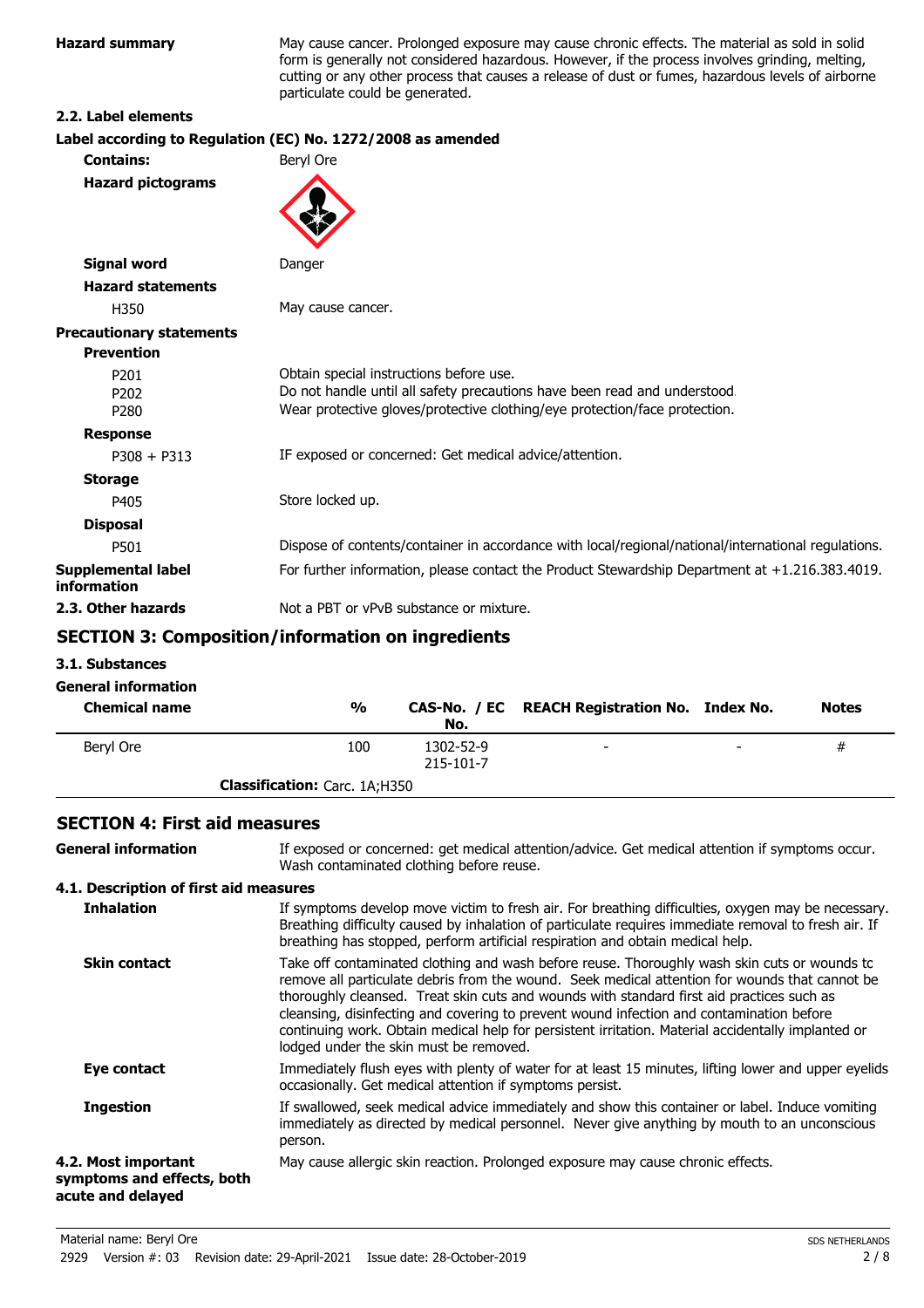**Hazard summary** May cause cancer. Prolonged exposure may cause chronic effects. The material as sold in solid form is generally not considered hazardous. However, if the process involves grinding, melting, cutting or any other process that causes a release of dust or fumes, hazardous levels of airborne particulate could be generated.

#### **2.2. Label elements**

# **Label according to Regulation (EC) No. 1272/2008 as amended**

| <b>Contains:</b>                                         | Beryl Ore                                                                                                                                                                                          |
|----------------------------------------------------------|----------------------------------------------------------------------------------------------------------------------------------------------------------------------------------------------------|
| <b>Hazard pictograms</b>                                 |                                                                                                                                                                                                    |
| <b>Signal word</b>                                       | Danger                                                                                                                                                                                             |
| <b>Hazard statements</b>                                 |                                                                                                                                                                                                    |
| H350                                                     | May cause cancer.                                                                                                                                                                                  |
| <b>Precautionary statements</b>                          |                                                                                                                                                                                                    |
| <b>Prevention</b>                                        |                                                                                                                                                                                                    |
| P <sub>201</sub><br>P <sub>202</sub><br>P <sub>280</sub> | Obtain special instructions before use.<br>Do not handle until all safety precautions have been read and understood.<br>Wear protective gloves/protective clothing/eye protection/face protection. |
| <b>Response</b>                                          |                                                                                                                                                                                                    |
| $P308 + P313$                                            | IF exposed or concerned: Get medical advice/attention.                                                                                                                                             |
| <b>Storage</b>                                           |                                                                                                                                                                                                    |
| P405                                                     | Store locked up.                                                                                                                                                                                   |
| <b>Disposal</b>                                          |                                                                                                                                                                                                    |
| P501                                                     | Dispose of contents/container in accordance with local/regional/national/international regulations.                                                                                                |
| Supplemental label<br>information                        | For further information, please contact the Product Stewardship Department at +1.216.383.4019.                                                                                                     |
| 2.3. Other hazards                                       | Not a PBT or vPvB substance or mixture.                                                                                                                                                            |
|                                                          |                                                                                                                                                                                                    |

### **SECTION 3: Composition/information on ingredients**

**3.1. Substances**

#### **General information**

| <b>Chemical name</b> | $\frac{0}{0}$                        | No.                    | CAS-No. / EC REACH Registration No. Index No. |                          | <b>Notes</b> |
|----------------------|--------------------------------------|------------------------|-----------------------------------------------|--------------------------|--------------|
| Bervl Ore            | 100                                  | 1302-52-9<br>215-101-7 | $\overline{\phantom{a}}$                      | $\overline{\phantom{0}}$ | #            |
|                      | <b>Classification:</b> Carc. 1A;H350 |                        |                                               |                          |              |

#### **SECTION 4: First aid measures**

| <b>General information</b>                                             | If exposed or concerned: get medical attention/advice. Get medical attention if symptoms occur.<br>Wash contaminated clothing before reuse.                                                                                                                                                                                                                                                                                                                                                                                             |
|------------------------------------------------------------------------|-----------------------------------------------------------------------------------------------------------------------------------------------------------------------------------------------------------------------------------------------------------------------------------------------------------------------------------------------------------------------------------------------------------------------------------------------------------------------------------------------------------------------------------------|
| 4.1. Description of first aid measures                                 |                                                                                                                                                                                                                                                                                                                                                                                                                                                                                                                                         |
| <b>Inhalation</b>                                                      | If symptoms develop move victim to fresh air. For breathing difficulties, oxygen may be necessary.<br>Breathing difficulty caused by inhalation of particulate requires immediate removal to fresh air. If<br>breathing has stopped, perform artificial respiration and obtain medical help.                                                                                                                                                                                                                                            |
| <b>Skin contact</b>                                                    | Take off contaminated clothing and wash before reuse. Thoroughly wash skin cuts or wounds to<br>remove all particulate debris from the wound. Seek medical attention for wounds that cannot be<br>thoroughly cleansed. Treat skin cuts and wounds with standard first aid practices such as<br>cleansing, disinfecting and covering to prevent wound infection and contamination before<br>continuing work. Obtain medical help for persistent irritation. Material accidentally implanted or<br>lodged under the skin must be removed. |
| Eye contact                                                            | Immediately flush eyes with plenty of water for at least 15 minutes, lifting lower and upper eyelids<br>occasionally. Get medical attention if symptoms persist.                                                                                                                                                                                                                                                                                                                                                                        |
| <b>Ingestion</b>                                                       | If swallowed, seek medical advice immediately and show this container or label. Induce vomiting<br>immediately as directed by medical personnel. Never give anything by mouth to an unconscious<br>person.                                                                                                                                                                                                                                                                                                                              |
| 4.2. Most important<br>symptoms and effects, both<br>acute and delayed | May cause allergic skin reaction. Prolonged exposure may cause chronic effects.                                                                                                                                                                                                                                                                                                                                                                                                                                                         |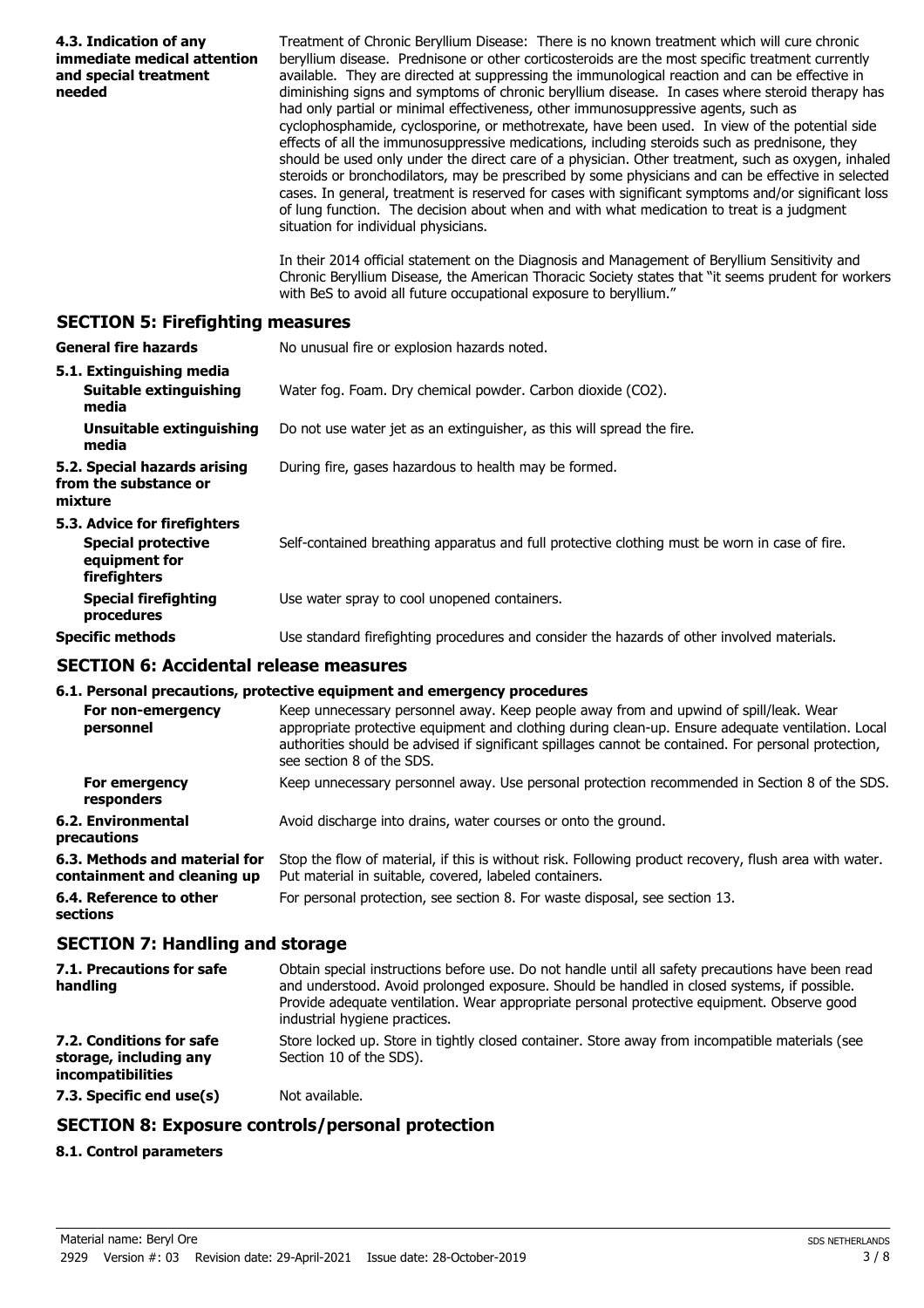| 4.3. Indication of any<br>immediate medical attention<br>and special treatment<br>needed   | Treatment of Chronic Beryllium Disease: There is no known treatment which will cure chronic<br>beryllium disease. Prednisone or other corticosteroids are the most specific treatment currently<br>available. They are directed at suppressing the immunological reaction and can be effective in<br>diminishing signs and symptoms of chronic beryllium disease. In cases where steroid therapy has<br>had only partial or minimal effectiveness, other immunosuppressive agents, such as<br>cyclophosphamide, cyclosporine, or methotrexate, have been used. In view of the potential side<br>effects of all the immunosuppressive medications, including steroids such as prednisone, they<br>should be used only under the direct care of a physician. Other treatment, such as oxygen, inhaled<br>steroids or bronchodilators, may be prescribed by some physicians and can be effective in selected<br>cases. In general, treatment is reserved for cases with significant symptoms and/or significant loss<br>of lung function. The decision about when and with what medication to treat is a judgment<br>situation for individual physicians.<br>In their 2014 official statement on the Diagnosis and Management of Beryllium Sensitivity and<br>Chronic Beryllium Disease, the American Thoracic Society states that "it seems prudent for workers |
|--------------------------------------------------------------------------------------------|---------------------------------------------------------------------------------------------------------------------------------------------------------------------------------------------------------------------------------------------------------------------------------------------------------------------------------------------------------------------------------------------------------------------------------------------------------------------------------------------------------------------------------------------------------------------------------------------------------------------------------------------------------------------------------------------------------------------------------------------------------------------------------------------------------------------------------------------------------------------------------------------------------------------------------------------------------------------------------------------------------------------------------------------------------------------------------------------------------------------------------------------------------------------------------------------------------------------------------------------------------------------------------------------------------------------------------------------------------------|
|                                                                                            | with BeS to avoid all future occupational exposure to beryllium."                                                                                                                                                                                                                                                                                                                                                                                                                                                                                                                                                                                                                                                                                                                                                                                                                                                                                                                                                                                                                                                                                                                                                                                                                                                                                             |
| <b>SECTION 5: Firefighting measures</b>                                                    |                                                                                                                                                                                                                                                                                                                                                                                                                                                                                                                                                                                                                                                                                                                                                                                                                                                                                                                                                                                                                                                                                                                                                                                                                                                                                                                                                               |
| <b>General fire hazards</b>                                                                | No unusual fire or explosion hazards noted.                                                                                                                                                                                                                                                                                                                                                                                                                                                                                                                                                                                                                                                                                                                                                                                                                                                                                                                                                                                                                                                                                                                                                                                                                                                                                                                   |
| 5.1. Extinguishing media<br>Suitable extinguishing<br>media                                | Water fog. Foam. Dry chemical powder. Carbon dioxide (CO2).                                                                                                                                                                                                                                                                                                                                                                                                                                                                                                                                                                                                                                                                                                                                                                                                                                                                                                                                                                                                                                                                                                                                                                                                                                                                                                   |
| <b>Unsuitable extinguishing</b><br>media                                                   | Do not use water jet as an extinguisher, as this will spread the fire.                                                                                                                                                                                                                                                                                                                                                                                                                                                                                                                                                                                                                                                                                                                                                                                                                                                                                                                                                                                                                                                                                                                                                                                                                                                                                        |
| 5.2. Special hazards arising<br>from the substance or<br>mixture                           | During fire, gases hazardous to health may be formed.                                                                                                                                                                                                                                                                                                                                                                                                                                                                                                                                                                                                                                                                                                                                                                                                                                                                                                                                                                                                                                                                                                                                                                                                                                                                                                         |
| 5.3. Advice for firefighters<br><b>Special protective</b><br>equipment for<br>firefighters | Self-contained breathing apparatus and full protective clothing must be worn in case of fire.                                                                                                                                                                                                                                                                                                                                                                                                                                                                                                                                                                                                                                                                                                                                                                                                                                                                                                                                                                                                                                                                                                                                                                                                                                                                 |
| <b>Special firefighting</b><br>procedures                                                  | Use water spray to cool unopened containers.                                                                                                                                                                                                                                                                                                                                                                                                                                                                                                                                                                                                                                                                                                                                                                                                                                                                                                                                                                                                                                                                                                                                                                                                                                                                                                                  |
| <b>Specific methods</b>                                                                    | Use standard firefighting procedures and consider the hazards of other involved materials.                                                                                                                                                                                                                                                                                                                                                                                                                                                                                                                                                                                                                                                                                                                                                                                                                                                                                                                                                                                                                                                                                                                                                                                                                                                                    |
| <b>SECTION 6: Accidental release measures</b>                                              |                                                                                                                                                                                                                                                                                                                                                                                                                                                                                                                                                                                                                                                                                                                                                                                                                                                                                                                                                                                                                                                                                                                                                                                                                                                                                                                                                               |
|                                                                                            | 6.1. Personal precautions, protective equipment and emergency procedures                                                                                                                                                                                                                                                                                                                                                                                                                                                                                                                                                                                                                                                                                                                                                                                                                                                                                                                                                                                                                                                                                                                                                                                                                                                                                      |
| personnel                                                                                  | For non-emergency Keep unnecessary personnel away. Keep people away from and upwind of spill/leak. Wear<br>appropriate protective equipment and clothing during clean-up. Ensure adequate ventilation. Local<br>authorities should be advised if significant spillages cannot be contained. For personal protection,<br>see section 8 of the SDS.                                                                                                                                                                                                                                                                                                                                                                                                                                                                                                                                                                                                                                                                                                                                                                                                                                                                                                                                                                                                             |
| For emergency<br>responders                                                                | Keep unnecessary personnel away. Use personal protection recommended in Section 8 of the SDS.                                                                                                                                                                                                                                                                                                                                                                                                                                                                                                                                                                                                                                                                                                                                                                                                                                                                                                                                                                                                                                                                                                                                                                                                                                                                 |
| <b>6.2. Environmental</b><br>precautions                                                   | Avoid discharge into drains, water courses or onto the ground.                                                                                                                                                                                                                                                                                                                                                                                                                                                                                                                                                                                                                                                                                                                                                                                                                                                                                                                                                                                                                                                                                                                                                                                                                                                                                                |
| 6.3. Methods and material for<br>containment and cleaning up                               | Stop the flow of material, if this is without risk. Following product recovery, flush area with water.<br>Put material in suitable, covered, labeled containers.                                                                                                                                                                                                                                                                                                                                                                                                                                                                                                                                                                                                                                                                                                                                                                                                                                                                                                                                                                                                                                                                                                                                                                                              |
| 6.4. Reference to other<br>sections                                                        | For personal protection, see section 8. For waste disposal, see section 13.                                                                                                                                                                                                                                                                                                                                                                                                                                                                                                                                                                                                                                                                                                                                                                                                                                                                                                                                                                                                                                                                                                                                                                                                                                                                                   |
| <b>SECTION 7: Handling and storage</b>                                                     |                                                                                                                                                                                                                                                                                                                                                                                                                                                                                                                                                                                                                                                                                                                                                                                                                                                                                                                                                                                                                                                                                                                                                                                                                                                                                                                                                               |
| 7.1. Precautions for safe<br>handling                                                      | Obtain special instructions before use. Do not handle until all safety precautions have been read<br>and understood. Avoid prolonged exposure. Should be handled in closed systems, if possible.<br>Provide adequate ventilation. Wear appropriate personal protective equipment. Observe good<br>industrial hygiene practices.                                                                                                                                                                                                                                                                                                                                                                                                                                                                                                                                                                                                                                                                                                                                                                                                                                                                                                                                                                                                                               |
| 7.2. Conditions for safe<br>storage, including any<br>incompatibilities                    | Store locked up. Store in tightly closed container. Store away from incompatible materials (see<br>Section 10 of the SDS).                                                                                                                                                                                                                                                                                                                                                                                                                                                                                                                                                                                                                                                                                                                                                                                                                                                                                                                                                                                                                                                                                                                                                                                                                                    |
| 7.3. Specific end use(s)                                                                   | Not available.                                                                                                                                                                                                                                                                                                                                                                                                                                                                                                                                                                                                                                                                                                                                                                                                                                                                                                                                                                                                                                                                                                                                                                                                                                                                                                                                                |
|                                                                                            | <b>SECTION 8: Exposure controls/personal protection</b>                                                                                                                                                                                                                                                                                                                                                                                                                                                                                                                                                                                                                                                                                                                                                                                                                                                                                                                                                                                                                                                                                                                                                                                                                                                                                                       |
| 8.1. Control parameters                                                                    |                                                                                                                                                                                                                                                                                                                                                                                                                                                                                                                                                                                                                                                                                                                                                                                                                                                                                                                                                                                                                                                                                                                                                                                                                                                                                                                                                               |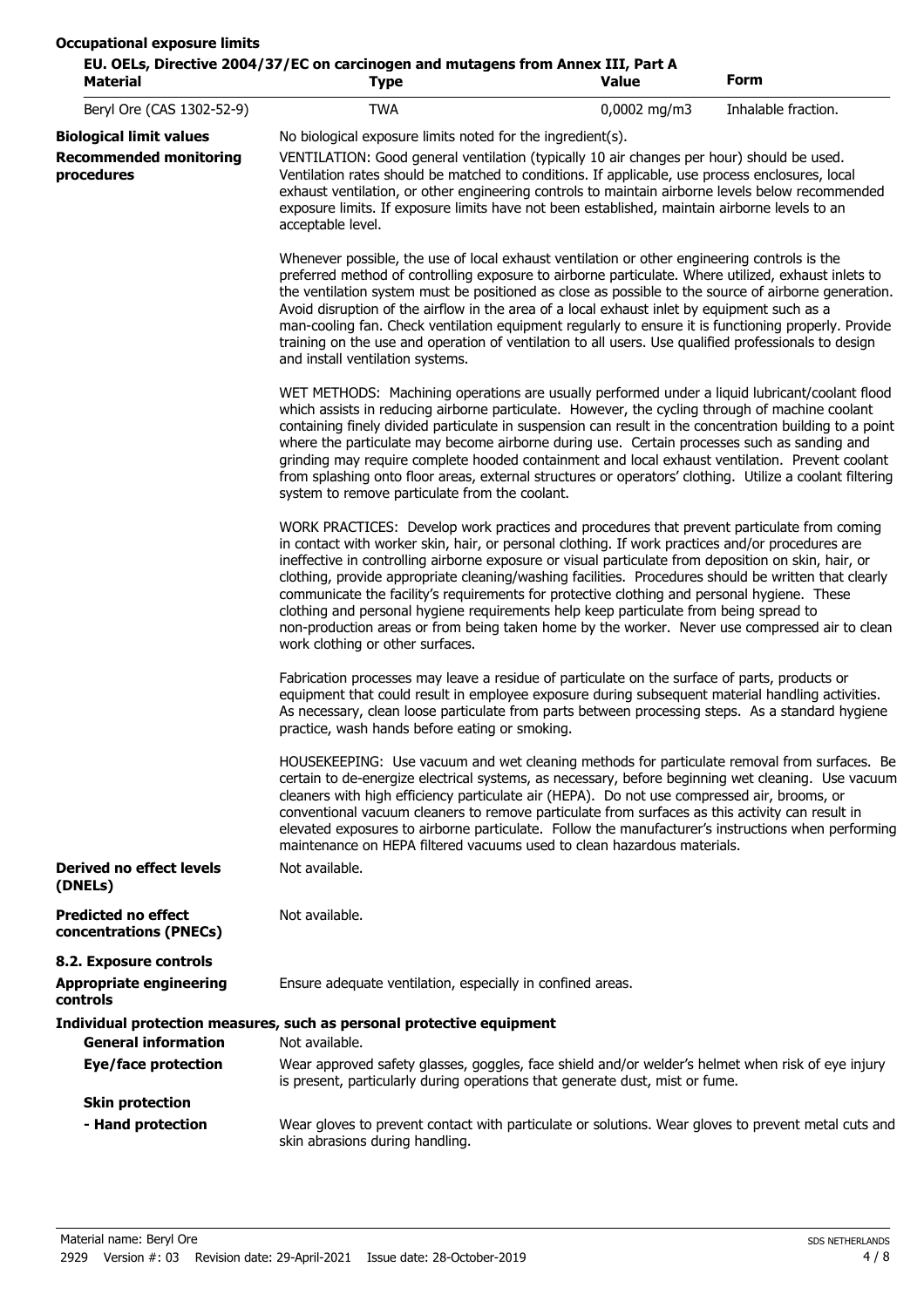| <b>Material</b>                                      | EU. OELs, Directive 2004/37/EC on carcinogen and mutagens from Annex III, Part A<br><b>Type</b>                                                                                                                                                                                                                                                                                                                                                                                                                                                                                                                                                                                                                                              | Value        | Form                |  |
|------------------------------------------------------|----------------------------------------------------------------------------------------------------------------------------------------------------------------------------------------------------------------------------------------------------------------------------------------------------------------------------------------------------------------------------------------------------------------------------------------------------------------------------------------------------------------------------------------------------------------------------------------------------------------------------------------------------------------------------------------------------------------------------------------------|--------------|---------------------|--|
| Beryl Ore (CAS 1302-52-9)                            | <b>TWA</b>                                                                                                                                                                                                                                                                                                                                                                                                                                                                                                                                                                                                                                                                                                                                   | 0,0002 mg/m3 | Inhalable fraction. |  |
| <b>Biological limit values</b>                       | No biological exposure limits noted for the ingredient(s).                                                                                                                                                                                                                                                                                                                                                                                                                                                                                                                                                                                                                                                                                   |              |                     |  |
| <b>Recommended monitoring</b><br>procedures          | VENTILATION: Good general ventilation (typically 10 air changes per hour) should be used.<br>Ventilation rates should be matched to conditions. If applicable, use process enclosures, local<br>exhaust ventilation, or other engineering controls to maintain airborne levels below recommended<br>exposure limits. If exposure limits have not been established, maintain airborne levels to an<br>acceptable level.                                                                                                                                                                                                                                                                                                                       |              |                     |  |
|                                                      | Whenever possible, the use of local exhaust ventilation or other engineering controls is the<br>preferred method of controlling exposure to airborne particulate. Where utilized, exhaust inlets to<br>the ventilation system must be positioned as close as possible to the source of airborne generation.<br>Avoid disruption of the airflow in the area of a local exhaust inlet by equipment such as a<br>man-cooling fan. Check ventilation equipment regularly to ensure it is functioning properly. Provide<br>training on the use and operation of ventilation to all users. Use qualified professionals to design<br>and install ventilation systems.                                                                               |              |                     |  |
|                                                      | WET METHODS: Machining operations are usually performed under a liquid lubricant/coolant flood<br>which assists in reducing airborne particulate. However, the cycling through of machine coolant<br>containing finely divided particulate in suspension can result in the concentration building to a point<br>where the particulate may become airborne during use. Certain processes such as sanding and<br>grinding may require complete hooded containment and local exhaust ventilation. Prevent coolant<br>from splashing onto floor areas, external structures or operators' clothing. Utilize a coolant filtering<br>system to remove particulate from the coolant.                                                                 |              |                     |  |
|                                                      | WORK PRACTICES: Develop work practices and procedures that prevent particulate from coming<br>in contact with worker skin, hair, or personal clothing. If work practices and/or procedures are<br>ineffective in controlling airborne exposure or visual particulate from deposition on skin, hair, or<br>clothing, provide appropriate cleaning/washing facilities. Procedures should be written that clearly<br>communicate the facility's requirements for protective clothing and personal hygiene. These<br>clothing and personal hygiene requirements help keep particulate from being spread to<br>non-production areas or from being taken home by the worker. Never use compressed air to clean<br>work clothing or other surfaces. |              |                     |  |
|                                                      | Fabrication processes may leave a residue of particulate on the surface of parts, products or<br>equipment that could result in employee exposure during subsequent material handling activities.<br>As necessary, clean loose particulate from parts between processing steps. As a standard hygiene<br>practice, wash hands before eating or smoking.                                                                                                                                                                                                                                                                                                                                                                                      |              |                     |  |
|                                                      | HOUSEKEEPING: Use vacuum and wet cleaning methods for particulate removal from surfaces. Be<br>certain to de-energize electrical systems, as necessary, before beginning wet cleaning. Use vacuum<br>cleaners with high efficiency particulate air (HEPA). Do not use compressed air, brooms, or<br>conventional vacuum cleaners to remove particulate from surfaces as this activity can result in<br>elevated exposures to airborne particulate. Follow the manufacturer's instructions when performing<br>maintenance on HEPA filtered vacuums used to clean hazardous materials.                                                                                                                                                         |              |                     |  |
| Derived no effect levels<br>(DNELs)                  | Not available.                                                                                                                                                                                                                                                                                                                                                                                                                                                                                                                                                                                                                                                                                                                               |              |                     |  |
| <b>Predicted no effect</b><br>concentrations (PNECs) | Not available.                                                                                                                                                                                                                                                                                                                                                                                                                                                                                                                                                                                                                                                                                                                               |              |                     |  |
| 8.2. Exposure controls                               |                                                                                                                                                                                                                                                                                                                                                                                                                                                                                                                                                                                                                                                                                                                                              |              |                     |  |
| <b>Appropriate engineering</b><br>controls           | Ensure adequate ventilation, especially in confined areas.                                                                                                                                                                                                                                                                                                                                                                                                                                                                                                                                                                                                                                                                                   |              |                     |  |
|                                                      | Individual protection measures, such as personal protective equipment                                                                                                                                                                                                                                                                                                                                                                                                                                                                                                                                                                                                                                                                        |              |                     |  |
| <b>General information</b>                           | Not available.                                                                                                                                                                                                                                                                                                                                                                                                                                                                                                                                                                                                                                                                                                                               |              |                     |  |
| <b>Eye/face protection</b>                           | Wear approved safety glasses, goggles, face shield and/or welder's helmet when risk of eye injury<br>is present, particularly during operations that generate dust, mist or fume.                                                                                                                                                                                                                                                                                                                                                                                                                                                                                                                                                            |              |                     |  |
| <b>Skin protection</b>                               |                                                                                                                                                                                                                                                                                                                                                                                                                                                                                                                                                                                                                                                                                                                                              |              |                     |  |
| - Hand protection                                    | Wear gloves to prevent contact with particulate or solutions. Wear gloves to prevent metal cuts and<br>skin abrasions during handling.                                                                                                                                                                                                                                                                                                                                                                                                                                                                                                                                                                                                       |              |                     |  |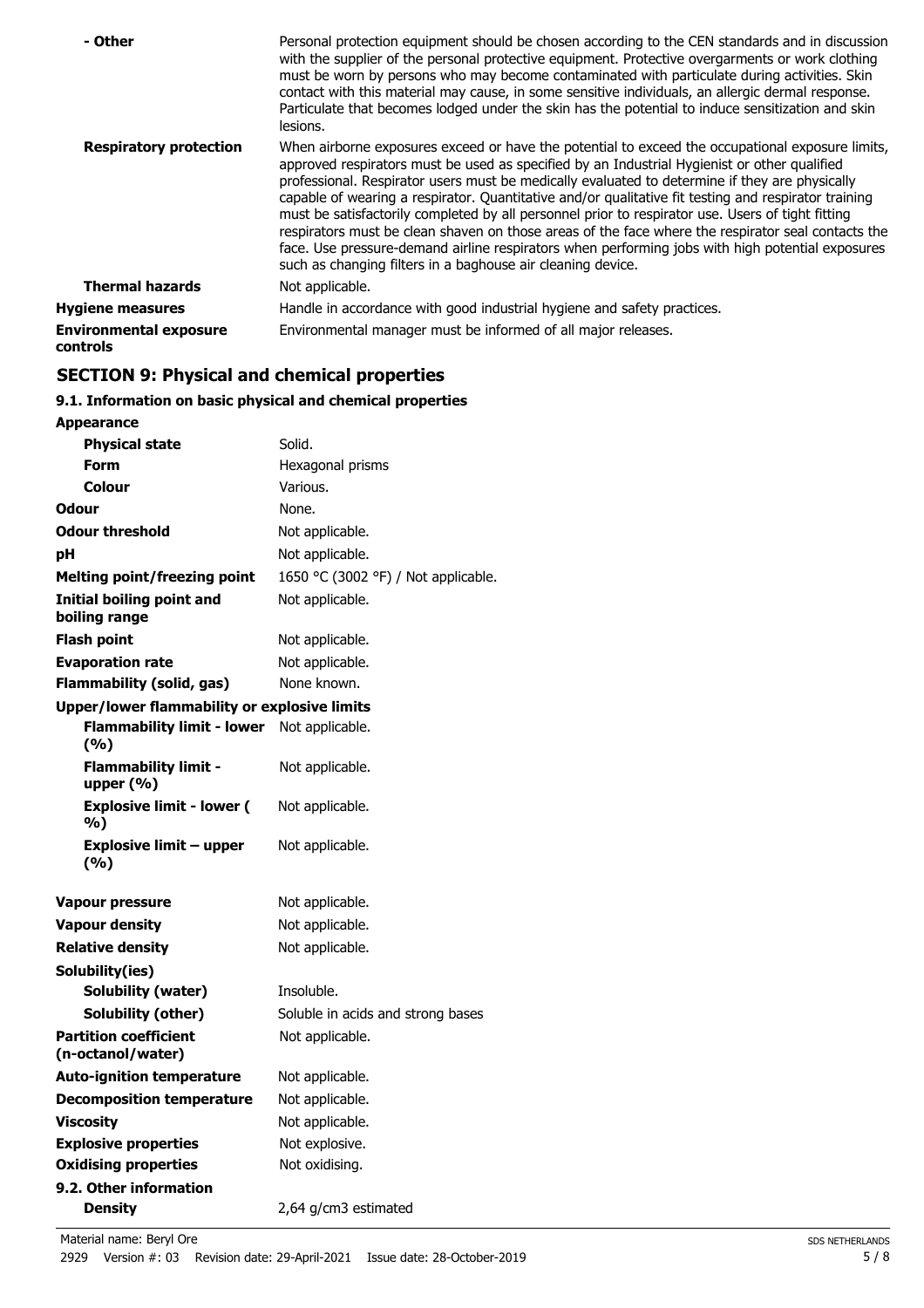| - Other                                          | Personal protection equipment should be chosen according to the CEN standards and in discussion<br>with the supplier of the personal protective equipment. Protective overgarments or work clothing<br>must be worn by persons who may become contaminated with particulate during activities. Skin<br>contact with this material may cause, in some sensitive individuals, an allergic dermal response.<br>Particulate that becomes lodged under the skin has the potential to induce sensitization and skin<br>lesions.                                                                                                                                                                                                                                                                |
|--------------------------------------------------|------------------------------------------------------------------------------------------------------------------------------------------------------------------------------------------------------------------------------------------------------------------------------------------------------------------------------------------------------------------------------------------------------------------------------------------------------------------------------------------------------------------------------------------------------------------------------------------------------------------------------------------------------------------------------------------------------------------------------------------------------------------------------------------|
| <b>Respiratory protection</b>                    | When airborne exposures exceed or have the potential to exceed the occupational exposure limits,<br>approved respirators must be used as specified by an Industrial Hygienist or other qualified<br>professional. Respirator users must be medically evaluated to determine if they are physically<br>capable of wearing a respirator. Quantitative and/or qualitative fit testing and respirator training<br>must be satisfactorily completed by all personnel prior to respirator use. Users of tight fitting<br>respirators must be clean shaven on those areas of the face where the respirator seal contacts the<br>face. Use pressure-demand airline respirators when performing jobs with high potential exposures<br>such as changing filters in a baghouse air cleaning device. |
| <b>Thermal hazards</b>                           | Not applicable.                                                                                                                                                                                                                                                                                                                                                                                                                                                                                                                                                                                                                                                                                                                                                                          |
| <b>Hygiene measures</b>                          | Handle in accordance with good industrial hygiene and safety practices.                                                                                                                                                                                                                                                                                                                                                                                                                                                                                                                                                                                                                                                                                                                  |
| <b>Environmental exposure</b><br><b>controls</b> | Environmental manager must be informed of all major releases.                                                                                                                                                                                                                                                                                                                                                                                                                                                                                                                                                                                                                                                                                                                            |

# **SECTION 9: Physical and chemical properties**

# **9.1. Information on basic physical and chemical properties**

| <b>Appearance</b>                                   |                                     |
|-----------------------------------------------------|-------------------------------------|
| <b>Physical state</b>                               | Solid.                              |
| Form                                                | Hexagonal prisms                    |
| <b>Colour</b>                                       | Various.                            |
| Odour                                               | None.                               |
| <b>Odour threshold</b>                              | Not applicable.                     |
| рH                                                  | Not applicable.                     |
| <b>Melting point/freezing point</b>                 | 1650 °C (3002 °F) / Not applicable. |
| Initial boiling point and<br>boiling range          | Not applicable.                     |
| Flash point                                         | Not applicable.                     |
| <b>Evaporation rate</b>                             | Not applicable.                     |
| <b>Flammability (solid, gas)</b>                    | None known.                         |
| <b>Upper/lower flammability or explosive limits</b> |                                     |
| <b>Flammability limit - lower</b><br>(%)            | Not applicable.                     |
| Flammability limit -<br>upper $(\%)$                | Not applicable.                     |
| <b>Explosive limit - lower (</b><br>%)              | Not applicable.                     |
| <b>Explosive limit - upper</b><br>(%)               | Not applicable.                     |
| <b>Vapour pressure</b>                              | Not applicable.                     |
| <b>Vapour density</b>                               | Not applicable.                     |
| <b>Relative density</b>                             | Not applicable.                     |
| Solubility(ies)                                     |                                     |
| <b>Solubility (water)</b>                           | Insoluble.                          |
| Solubility (other)                                  | Soluble in acids and strong bases   |
| <b>Partition coefficient</b><br>(n-octanol/water)   | Not applicable.                     |
| <b>Auto-ignition temperature</b>                    | Not applicable.                     |
| <b>Decomposition temperature</b>                    | Not applicable.                     |
| <b>Viscosity</b>                                    | Not applicable.                     |
| <b>Explosive properties</b>                         | Not explosive.                      |
| <b>Oxidising properties</b>                         | Not oxidising.                      |
| 9.2. Other information                              |                                     |
| <b>Density</b>                                      | 2,64 g/cm3 estimated                |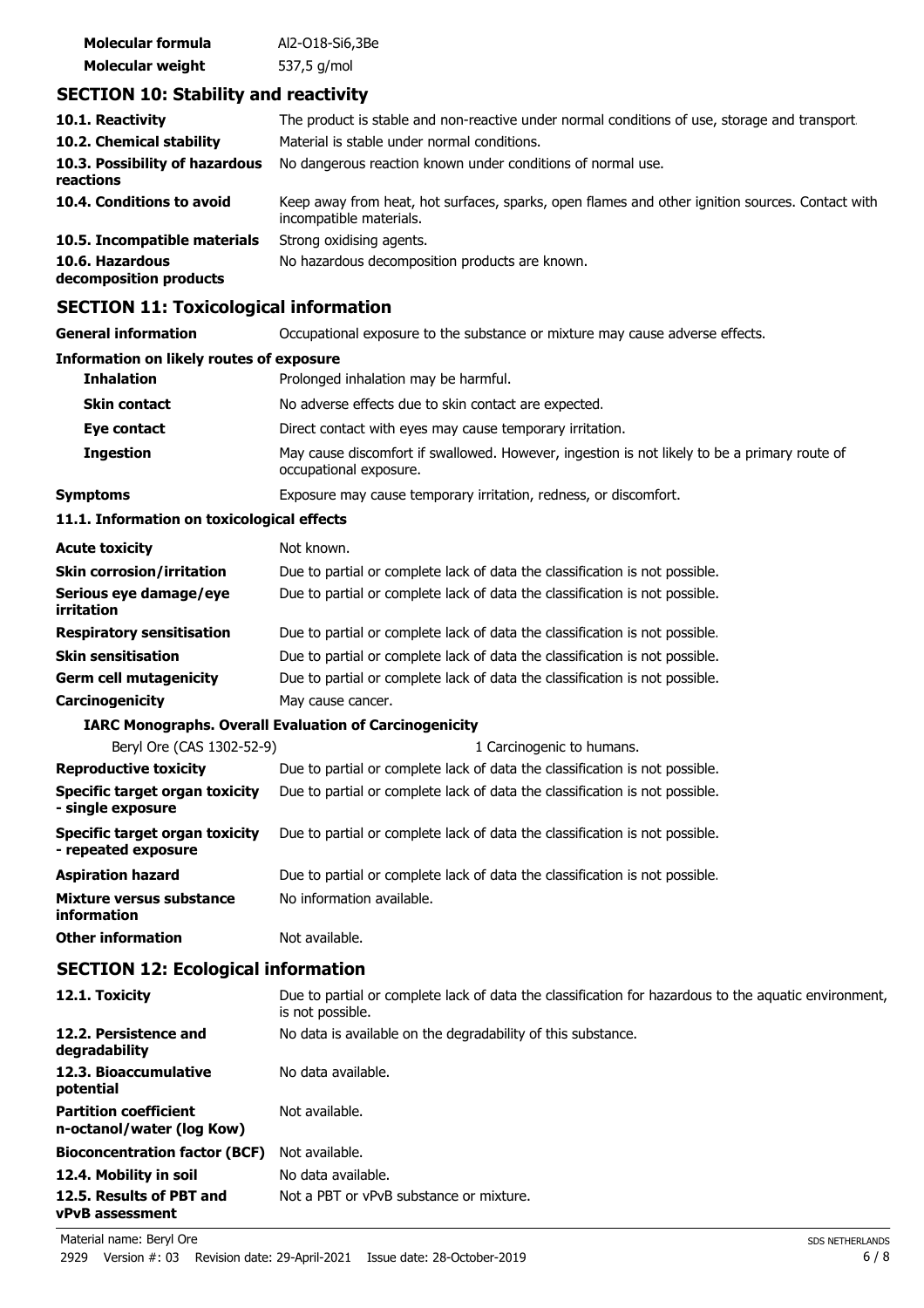| Molecular formula       | Al2-018-Si6,3Be |
|-------------------------|-----------------|
| <b>Molecular weight</b> | 537,5 g/mol     |

# **SECTION 10: Stability and reactivity**

| 10.1. Reactivity                            | The product is stable and non-reactive under normal conditions of use, storage and transport.                              |
|---------------------------------------------|----------------------------------------------------------------------------------------------------------------------------|
| 10.2. Chemical stability                    | Material is stable under normal conditions.                                                                                |
| 10.3. Possibility of hazardous<br>reactions | No dangerous reaction known under conditions of normal use.                                                                |
| 10.4. Conditions to avoid                   | Keep away from heat, hot surfaces, sparks, open flames and other ignition sources. Contact with<br>incompatible materials. |
| 10.5. Incompatible materials                | Strong oxidising agents.                                                                                                   |
| 10.6. Hazardous<br>decomposition products   | No hazardous decomposition products are known.                                                                             |

# **SECTION 11: Toxicological information**

| SLCTION II. TOXICOlOGICAI IIIIOHIAGUUI                |                                                                                                                          |  |  |
|-------------------------------------------------------|--------------------------------------------------------------------------------------------------------------------------|--|--|
| <b>General information</b>                            | Occupational exposure to the substance or mixture may cause adverse effects.                                             |  |  |
| <b>Information on likely routes of exposure</b>       |                                                                                                                          |  |  |
| <b>Inhalation</b>                                     | Prolonged inhalation may be harmful.                                                                                     |  |  |
| <b>Skin contact</b>                                   | No adverse effects due to skin contact are expected.                                                                     |  |  |
| Eye contact                                           | Direct contact with eyes may cause temporary irritation.                                                                 |  |  |
| <b>Ingestion</b>                                      | May cause discomfort if swallowed. However, ingestion is not likely to be a primary route of<br>occupational exposure.   |  |  |
| <b>Symptoms</b>                                       | Exposure may cause temporary irritation, redness, or discomfort.                                                         |  |  |
| 11.1. Information on toxicological effects            |                                                                                                                          |  |  |
| <b>Acute toxicity</b>                                 | Not known.                                                                                                               |  |  |
| <b>Skin corrosion/irritation</b>                      | Due to partial or complete lack of data the classification is not possible.                                              |  |  |
| Serious eye damage/eye<br>irritation                  | Due to partial or complete lack of data the classification is not possible.                                              |  |  |
| <b>Respiratory sensitisation</b>                      | Due to partial or complete lack of data the classification is not possible.                                              |  |  |
| <b>Skin sensitisation</b>                             | Due to partial or complete lack of data the classification is not possible.                                              |  |  |
| <b>Germ cell mutagenicity</b>                         | Due to partial or complete lack of data the classification is not possible.                                              |  |  |
| Carcinogenicity                                       | May cause cancer.                                                                                                        |  |  |
|                                                       | <b>IARC Monographs. Overall Evaluation of Carcinogenicity</b>                                                            |  |  |
| Beryl Ore (CAS 1302-52-9)                             | 1 Carcinogenic to humans.                                                                                                |  |  |
| <b>Reproductive toxicity</b>                          | Due to partial or complete lack of data the classification is not possible.                                              |  |  |
| Specific target organ toxicity<br>- single exposure   | Due to partial or complete lack of data the classification is not possible.                                              |  |  |
| Specific target organ toxicity<br>- repeated exposure | Due to partial or complete lack of data the classification is not possible.                                              |  |  |
| <b>Aspiration hazard</b>                              | Due to partial or complete lack of data the classification is not possible.                                              |  |  |
| Mixture versus substance<br>information               | No information available.                                                                                                |  |  |
| <b>Other information</b>                              | Not available.                                                                                                           |  |  |
| <b>SECTION 12: Ecological information</b>             |                                                                                                                          |  |  |
| 12.1. Toxicity                                        | Due to partial or complete lack of data the classification for hazardous to the aquatic environment,<br>is not possible. |  |  |
| 12.2. Persistence and<br>degradability                | No data is available on the degradability of this substance.                                                             |  |  |
| 12.3. Bioaccumulative<br>potential                    | No data available.                                                                                                       |  |  |

Not available.

**Partition coefficient n-octanol/water (log Kow)**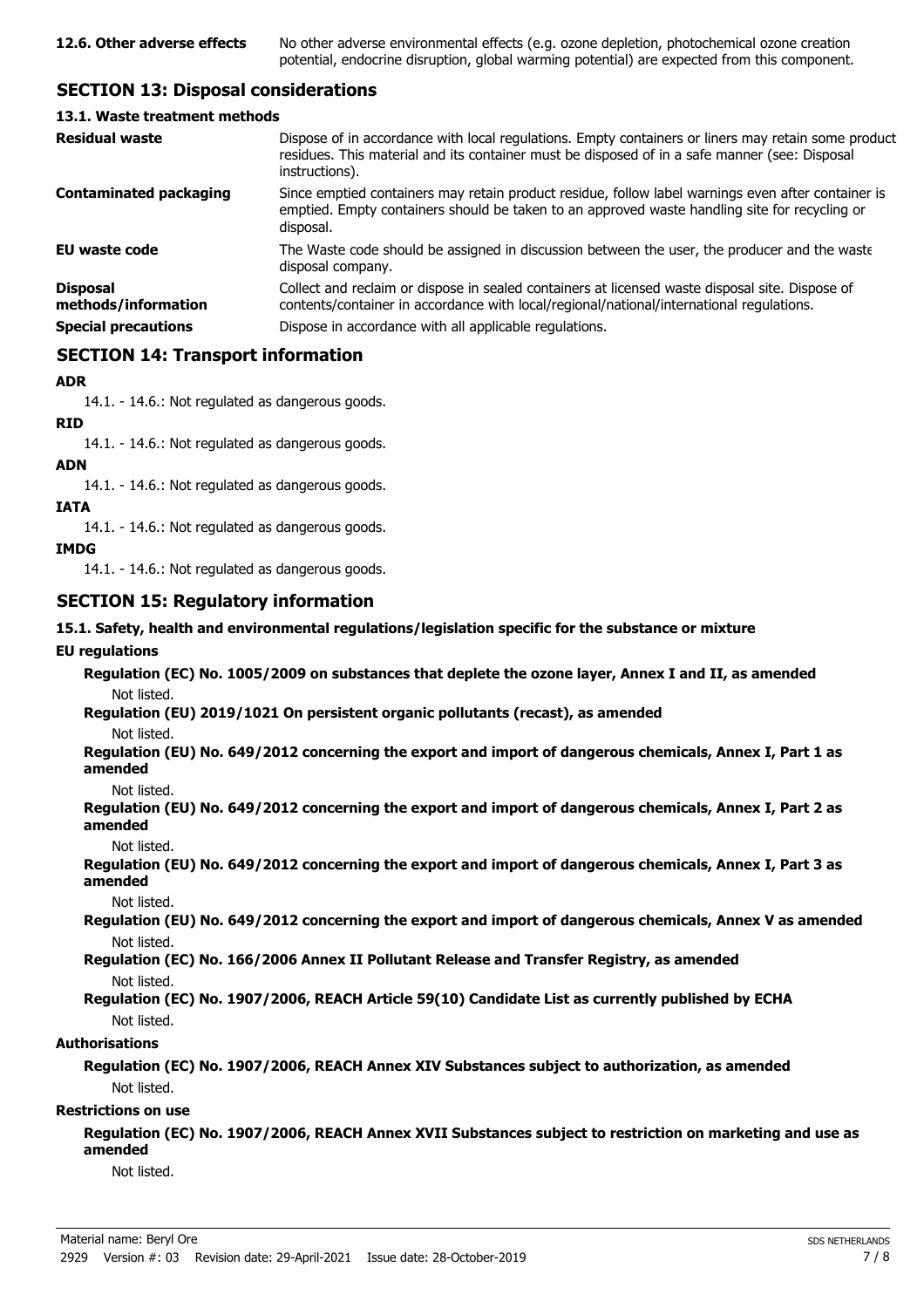# **SECTION 13: Disposal considerations**

#### **13.1. Waste treatment methods**

| <b>Residual waste</b>                                                | Dispose of in accordance with local regulations. Empty containers or liners may retain some product<br>residues. This material and its container must be disposed of in a safe manner (see: Disposal<br>instructions).                                |
|----------------------------------------------------------------------|-------------------------------------------------------------------------------------------------------------------------------------------------------------------------------------------------------------------------------------------------------|
| <b>Contaminated packaging</b>                                        | Since emptied containers may retain product residue, follow label warnings even after container is<br>emptied. Empty containers should be taken to an approved waste handling site for recycling or<br>disposal.                                      |
| <b>EU waste code</b>                                                 | The Waste code should be assigned in discussion between the user, the producer and the waste<br>disposal company.                                                                                                                                     |
| <b>Disposal</b><br>methods/information<br><b>Special precautions</b> | Collect and reclaim or dispose in sealed containers at licensed waste disposal site. Dispose of<br>contents/container in accordance with local/regional/national/international regulations.<br>Dispose in accordance with all applicable regulations. |
|                                                                      |                                                                                                                                                                                                                                                       |

# **SECTION 14: Transport information**

#### **ADR**

14.1. - 14.6.: Not regulated as dangerous goods.

**RID**

14.1. - 14.6.: Not regulated as dangerous goods.

#### **ADN**

14.1. - 14.6.: Not regulated as dangerous goods.

#### **IATA**

14.1. - 14.6.: Not regulated as dangerous goods.

#### **IMDG**

14.1. - 14.6.: Not regulated as dangerous goods.

### **SECTION 15: Regulatory information**

#### **15.1. Safety, health and environmental regulations/legislation specific for the substance or mixture**

#### **EU regulations**

**Regulation (EC) No. 1005/2009 on substances that deplete the ozone layer, Annex I and II, as amended** Not listed.

**Regulation (EU) 2019/1021 On persistent organic pollutants (recast), as amended**

Not listed.

**Regulation (EU) No. 649/2012 concerning the export and import of dangerous chemicals, Annex I, Part 1 as amended**

Not listed.

**Regulation (EU) No. 649/2012 concerning the export and import of dangerous chemicals, Annex I, Part 2 as amended**

Not listed.

**Regulation (EU) No. 649/2012 concerning the export and import of dangerous chemicals, Annex I, Part 3 as amended**

Not listed.

**Regulation (EU) No. 649/2012 concerning the export and import of dangerous chemicals, Annex V as amended** Not listed.

**Regulation (EC) No. 166/2006 Annex II Pollutant Release and Transfer Registry, as amended** Not listed.

#### **Regulation (EC) No. 1907/2006, REACH Article 59(10) Candidate List as currently published by ECHA** Not listed.

#### **Authorisations**

#### **Regulation (EC) No. 1907/2006, REACH Annex XIV Substances subject to authorization, as amended** Not listed.

#### **Restrictions on use**

**Regulation (EC) No. 1907/2006, REACH Annex XVII Substances subject to restriction on marketing and use as amended**

Not listed.